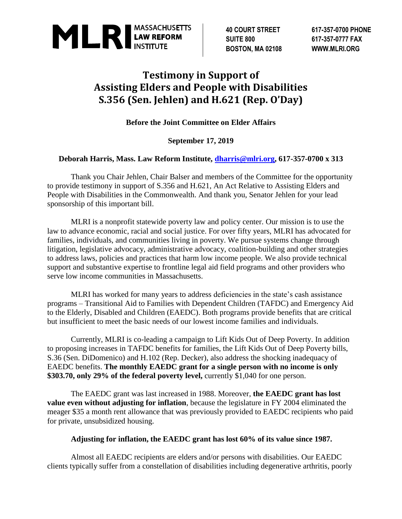

**SUITE 800 617-357-0777 FAX BOSTON, MA 02108 WWW.MLRI.ORG**

**40 COURT STREET 617-357-0700 PHONE**

## **Testimony in Support of Assisting Elders and People with Disabilities S.356 (Sen. Jehlen) and H.621 (Rep. O'Day)**

**Before the Joint Committee on Elder Affairs**

## **September 17, 2019**

## **Deborah Harris, Mass. Law Reform Institute, [dharris@mlri.org,](mailto:dharris@mlri.org) 617-357-0700 x 313**

Thank you Chair Jehlen, Chair Balser and members of the Committee for the opportunity to provide testimony in support of S.356 and H.621, An Act Relative to Assisting Elders and People with Disabilities in the Commonwealth. And thank you, Senator Jehlen for your lead sponsorship of this important bill.

MLRI is a nonprofit statewide poverty law and policy center. Our mission is to use the law to advance economic, racial and social justice. For over fifty years, MLRI has advocated for families, individuals, and communities living in poverty. We pursue systems change through litigation, legislative advocacy, administrative advocacy, coalition-building and other strategies to address laws, policies and practices that harm low income people. We also provide technical support and substantive expertise to frontline legal aid field programs and other providers who serve low income communities in Massachusetts.

MLRI has worked for many years to address deficiencies in the state's cash assistance programs – Transitional Aid to Families with Dependent Children (TAFDC) and Emergency Aid to the Elderly, Disabled and Children (EAEDC). Both programs provide benefits that are critical but insufficient to meet the basic needs of our lowest income families and individuals.

Currently, MLRI is co-leading a campaign to Lift Kids Out of Deep Poverty. In addition to proposing increases in TAFDC benefits for families, the Lift Kids Out of Deep Poverty bills, S.36 (Sen. DiDomenico) and H.102 (Rep. Decker), also address the shocking inadequacy of EAEDC benefits. **The monthly EAEDC grant for a single person with no income is only \$303.70, only 29% of the federal poverty level, currently \$1,040 for one person.** 

The EAEDC grant was last increased in 1988. Moreover, **the EAEDC grant has lost value even without adjusting for inflation**, because the legislature in FY 2004 eliminated the meager \$35 a month rent allowance that was previously provided to EAEDC recipients who paid for private, unsubsidized housing.

## **Adjusting for inflation, the EAEDC grant has lost 60% of its value since 1987.**

Almost all EAEDC recipients are elders and/or persons with disabilities. Our EAEDC clients typically suffer from a constellation of disabilities including degenerative arthritis, poorly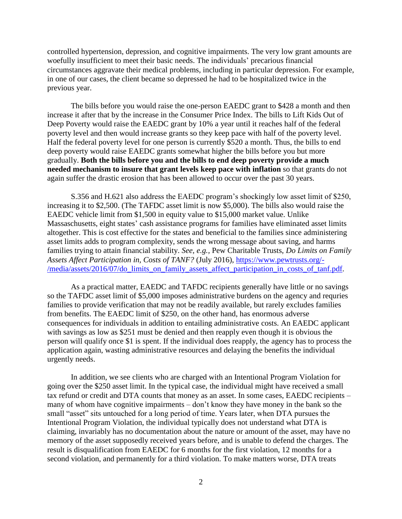controlled hypertension, depression, and cognitive impairments. The very low grant amounts are woefully insufficient to meet their basic needs. The individuals' precarious financial circumstances aggravate their medical problems, including in particular depression. For example, in one of our cases, the client became so depressed he had to be hospitalized twice in the previous year.

The bills before you would raise the one-person EAEDC grant to \$428 a month and then increase it after that by the increase in the Consumer Price Index. The bills to Lift Kids Out of Deep Poverty would raise the EAEDC grant by 10% a year until it reaches half of the federal poverty level and then would increase grants so they keep pace with half of the poverty level. Half the federal poverty level for one person is currently \$520 a month. Thus, the bills to end deep poverty would raise EAEDC grants somewhat higher the bills before you but more gradually. **Both the bills before you and the bills to end deep poverty provide a much needed mechanism to insure that grant levels keep pace with inflation** so that grants do not again suffer the drastic erosion that has been allowed to occur over the past 30 years.

S.356 and H.621 also address the EAEDC program's shockingly low asset limit of \$250, increasing it to \$2,500. (The TAFDC asset limit is now \$5,000). The bills also would raise the EAEDC vehicle limit from \$1,500 in equity value to \$15,000 market value. Unlike Massaschusetts, eight states' cash assistance programs for families have eliminated asset limits altogether. This is cost effective for the states and beneficial to the families since administering asset limits adds to program complexity, sends the wrong message about saving, and harms families trying to attain financial stability. *See, e.g.,* Pew Charitable Trusts, *Do Limits on Family Assets Affect Participation in, Costs of TANF?* (July 2016), [https://www.pewtrusts.org/-](https://www.pewtrusts.org/-/media/assets/2016/07/do_limits_on_family_assets_affect_participation_in_costs_of_tanf.pdf) [/media/assets/2016/07/do\\_limits\\_on\\_family\\_assets\\_affect\\_participation\\_in\\_costs\\_of\\_tanf.pdf.](https://www.pewtrusts.org/-/media/assets/2016/07/do_limits_on_family_assets_affect_participation_in_costs_of_tanf.pdf)

As a practical matter, EAEDC and TAFDC recipients generally have little or no savings so the TAFDC asset limit of \$5,000 imposes administrative burdens on the agency and requries families to provide verification that may not be readily available, but rarely excludes families from benefits. The EAEDC limit of \$250, on the other hand, has enormous adverse consequences for individuals in addition to entailing administrative costs. An EAEDC applicant with savings as low as \$251 must be denied and then reapply even though it is obvious the person will qualify once \$1 is spent. If the individual does reapply, the agency has to process the application again, wasting administrative resources and delaying the benefits the individual urgently needs.

In addition, we see clients who are charged with an Intentional Program Violation for going over the \$250 asset limit. In the typical case, the individual might have received a small tax refund or credit and DTA counts that money as an asset. In some cases, EAEDC recipients – many of whom have cognitive impairments – don't know they have money in the bank so the small "asset" sits untouched for a long period of time. Years later, when DTA pursues the Intentional Program Violation, the individual typically does not understand what DTA is claiming, invariably has no documentation about the nature or amount of the asset, may have no memory of the asset supposedly received years before, and is unable to defend the charges. The result is disqualification from EAEDC for 6 months for the first violation, 12 months for a second violation, and permanently for a third violation. To make matters worse, DTA treats